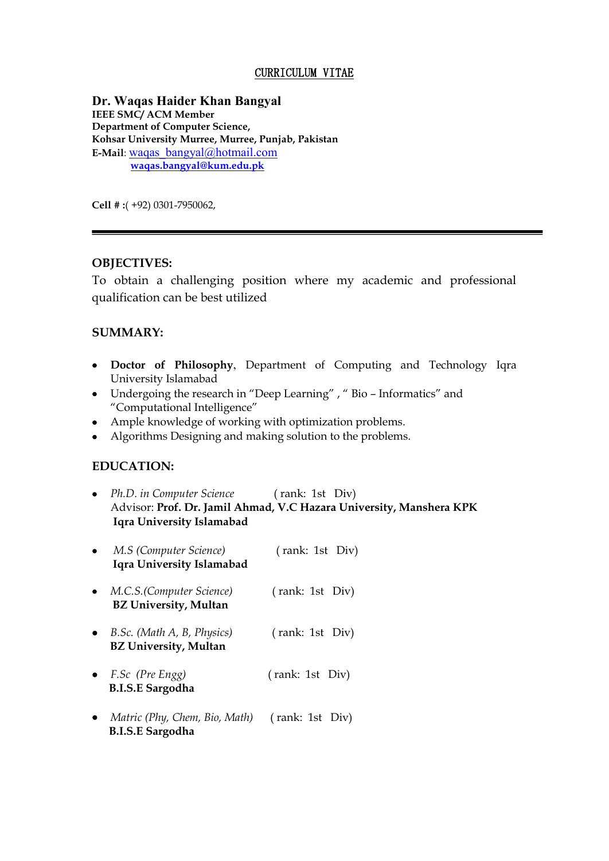### CURRICULUM VITAE

**Dr. Waqas Haider Khan Bangyal IEEE SMC/ ACM Member Department of Computer Science, Kohsar University Murree, Murree, Punjab, Pakistan E-Mail**: [waqas\\_bangyal@hotmail.com](mailto:waqas_bangyal@hotmail.com)  **[waqas.bangyal@kum.edu.pk](mailto:waqas.bangyal@kum.edu.pk)**

**Cell # :**( +92) 0301-7950062,

## **OBJECTIVES:**

To obtain a challenging position where my academic and professional qualification can be best utilized

#### **SUMMARY:**

- **Doctor of Philosophy**, Department of Computing and Technology Iqra University Islamabad
- Undergoing the research in "Deep Learning" , " Bio Informatics" and "Computational Intelligence"
- Ample knowledge of working with optimization problems.
- Algorithms Designing and making solution to the problems.

#### **EDUCATION:**

|           | • Ph.D. in Computer Science (rank: 1st Div)<br>Iqra University Islamabad | Advisor: Prof. Dr. Jamil Ahmad, V.C Hazara University, Manshera KPK |
|-----------|--------------------------------------------------------------------------|---------------------------------------------------------------------|
|           | $\bullet$ M.S (Computer Science)<br>Iqra University Islamabad            | (rank: 1st Div)                                                     |
|           | • $M.C.S.$ (Computer Science)<br><b>BZ University, Multan</b>            | (rank: 1st Div)                                                     |
|           | $\bullet$ B.Sc. (Math A, B, Physics)<br><b>BZ University, Multan</b>     | (rank: 1st Div)                                                     |
|           | • F.Sc (Pre Engg)<br><b>B.I.S.E Sargodha</b>                             | (rank: 1st Div)                                                     |
| $\bullet$ | Matric (Phy, Chem, Bio, Math)<br><b>B.I.S.E Sargodha</b>                 | (rank: 1st Div)                                                     |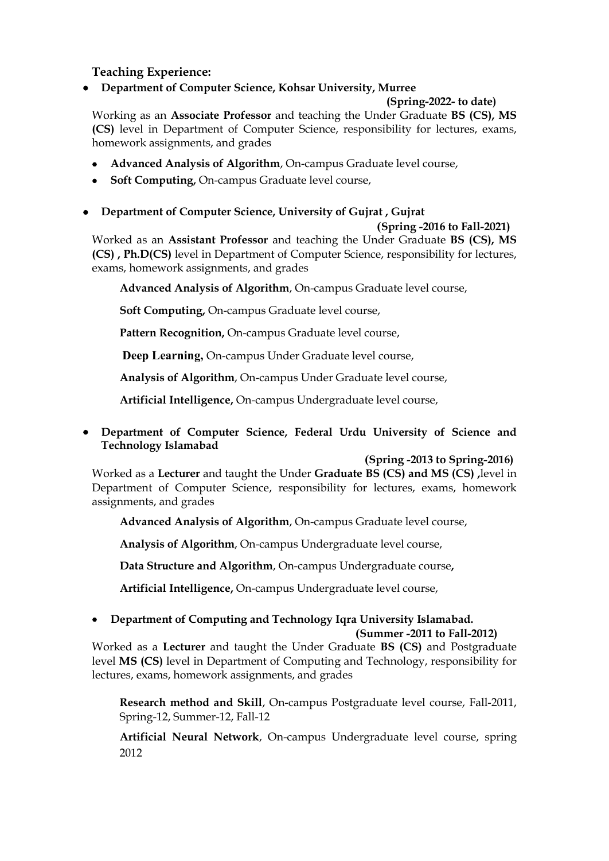# **Teaching Experience:**

**Department of Computer Science, Kohsar University, Murree**

## **(Spring-2022- to date)**

Working as an **Associate Professor** and teaching the Under Graduate **BS (CS), MS (CS)** level in Department of Computer Science, responsibility for lectures, exams, homework assignments, and grades

- **Advanced Analysis of Algorithm**, On-campus Graduate level course,
- **Soft Computing,** On-campus Graduate level course,
- **Department of Computer Science, University of Gujrat , Gujrat**

 **(Spring -2016 to Fall-2021)**

Worked as an **Assistant Professor** and teaching the Under Graduate **BS (CS), MS (CS) , Ph.D(CS)** level in Department of Computer Science, responsibility for lectures, exams, homework assignments, and grades

**Advanced Analysis of Algorithm**, On-campus Graduate level course,

**Soft Computing,** On-campus Graduate level course,

**Pattern Recognition,** On-campus Graduate level course,

**Deep Learning,** On-campus Under Graduate level course,

**Analysis of Algorithm**, On-campus Under Graduate level course,

**Artificial Intelligence,** On-campus Undergraduate level course,

 **Department of Computer Science, Federal Urdu University of Science and Technology Islamabad** 

## **(Spring -2013 to Spring-2016)**

Worked as a **Lecturer** and taught the Under **Graduate BS (CS) and MS (CS) ,**level in Department of Computer Science, responsibility for lectures, exams, homework assignments, and grades

**Advanced Analysis of Algorithm**, On-campus Graduate level course,

**Analysis of Algorithm**, On-campus Undergraduate level course,

**Data Structure and Algorithm**, On-campus Undergraduate course**,** 

**Artificial Intelligence,** On-campus Undergraduate level course,

## **Department of Computing and Technology Iqra University Islamabad. (Summer -2011 to Fall-2012)**

Worked as a **Lecturer** and taught the Under Graduate **BS (CS)** and Postgraduate level **MS (CS)** level in Department of Computing and Technology, responsibility for lectures, exams, homework assignments, and grades

**Research method and Skill**, On-campus Postgraduate level course, Fall-2011, Spring-12, Summer-12, Fall-12

**Artificial Neural Network**, On-campus Undergraduate level course, spring 2012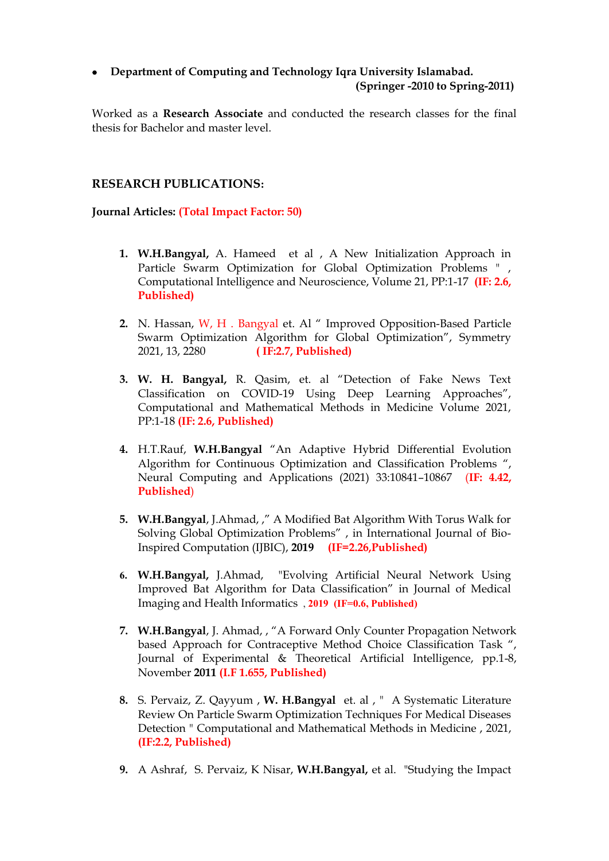# **Department of Computing and Technology Iqra University Islamabad. (Springer -2010 to Spring-2011)**

Worked as a **Research Associate** and conducted the research classes for the final thesis for Bachelor and master level.

## **RESEARCH PUBLICATIONS:**

## **Journal Articles: (Total Impact Factor: 50)**

- **1. W.H.Bangyal,** A. Hameed et al , A New Initialization Approach in Particle Swarm Optimization for Global Optimization Problems " , Computational Intelligence and Neuroscience, Volume 21, PP:1-17 **(IF: 2.6, Published)**
- **2.** N. Hassan, W, H . Bangyal et. Al " Improved Opposition-Based Particle Swarm Optimization Algorithm for Global Optimization", Symmetry 2021, 13, 2280 **( IF:2.7, Published)**
- **3. W. H. Bangyal,** R. Qasim, et. al "Detection of Fake News Text Classification on COVID-19 Using Deep Learning Approaches", Computational and Mathematical Methods in Medicine Volume 2021, PP:1-18 **(IF: 2.6, Published)**
- **4.** H.T.Rauf, **W.H.Bangyal** "An Adaptive Hybrid Differential Evolution Algorithm for Continuous Optimization and Classification Problems ", Neural Computing and Applications (2021) 33:10841–10867 (**IF: 4.42, Published**)
- **5. W.H.Bangyal**, J.Ahmad, ," A Modified Bat Algorithm With Torus Walk for Solving Global Optimization Problems" , in International Journal of Bio-Inspired Computation (IJBIC), **2019 (IF=2.26,Published)**
- **6. W.H.Bangyal,** J.Ahmad, "Evolving Artificial Neural Network Using Improved Bat Algorithm for Data Classification" in Journal of Medical Imaging and Health Informatics , **2019 (IF=0.6, Published)**
- **7. W.H.Bangyal**, J. Ahmad, , "A Forward Only Counter Propagation Network based Approach for Contraceptive Method Choice Classification Task ", Journal of Experimental & Theoretical Artificial Intelligence, pp.1-8, November **2011 (I.F 1.655, Published)**
- **8.** S. Pervaiz, Z. Qayyum , **W. H.Bangyal** et. al , " A Systematic Literature Review On Particle Swarm Optimization Techniques For Medical Diseases Detection " Computational and Mathematical Methods in Medicine , 2021, **(IF:2.2, Published)**
- **9.** A Ashraf, S. Pervaiz, K Nisar, **W.H.Bangyal,** et al. "Studying the Impact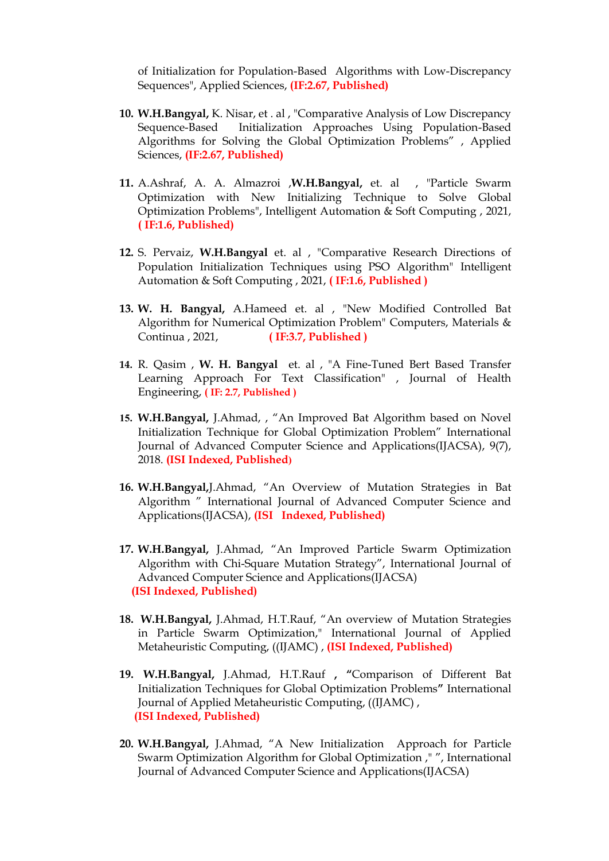of Initialization for Population-Based Algorithms with Low-Discrepancy Sequences", Applied Sciences, **(IF:2.67, Published)**

- **10. W.H.Bangyal,** K. Nisar, et . al , "Comparative Analysis of Low Discrepancy Sequence-Based Initialization Approaches Using Population-Based Algorithms for Solving the Global Optimization Problems" , Applied Sciences, **(IF:2.67, Published)**
- **11.** A.Ashraf, A. A. Almazroi ,**W.H.Bangyal,** et. al , "Particle Swarm Optimization with New Initializing Technique to Solve Global Optimization Problems", Intelligent Automation & Soft Computing , 2021, **( IF:1.6, Published)**
- **12.** S. Pervaiz, **W.H.Bangyal** et. al , "Comparative Research Directions of Population Initialization Techniques using PSO Algorithm" Intelligent Automation & Soft Computing , 2021, **( IF:1.6, Published )**
- **13. W. H. Bangyal,** A.Hameed et. al , "New Modified Controlled Bat Algorithm for Numerical Optimization Problem" Computers, Materials & Continua , 2021, **( IF:3.7, Published )**
- **14.** R. Qasim , **W. H. Bangyal** et. al , "A Fine-Tuned Bert Based Transfer Learning Approach For Text Classification" , Journal of Health Engineering, **( IF: 2.7, Published )**
- **15. W.H.Bangyal,** J.Ahmad, , "An Improved Bat Algorithm based on Novel Initialization Technique for Global Optimization Problem" International Journal of Advanced Computer Science and Applications(IJACSA), 9(7), 2018. **(ISI Indexed, Published)**
- **16. W.H.Bangyal,**J.Ahmad, "An Overview of Mutation Strategies in Bat Algorithm " International Journal of Advanced Computer Science and Applications(IJACSA), **(ISI Indexed, Published)**
- **17. W.H.Bangyal,** J.Ahmad, "An Improved Particle Swarm Optimization Algorithm with Chi-Square Mutation Strategy", International Journal of Advanced Computer Science and Applications(IJACSA)  **(ISI Indexed, Published)**
- **18. W.H.Bangyal,** J.Ahmad, H.T.Rauf, "An overview of Mutation Strategies in Particle Swarm Optimization," International Journal of Applied Metaheuristic Computing, ((IJAMC) , **(ISI Indexed, Published)**
- **19. W.H.Bangyal,** J.Ahmad, H.T.Rauf **, "**Comparison of Different Bat Initialization Techniques for Global Optimization Problems**"** International Journal of Applied Metaheuristic Computing, ((IJAMC) ,  **(ISI Indexed, Published)**
- **20. W.H.Bangyal,** J.Ahmad, "A New Initialization Approach for Particle Swarm Optimization Algorithm for Global Optimization ," ", International Journal of Advanced Computer Science and Applications(IJACSA)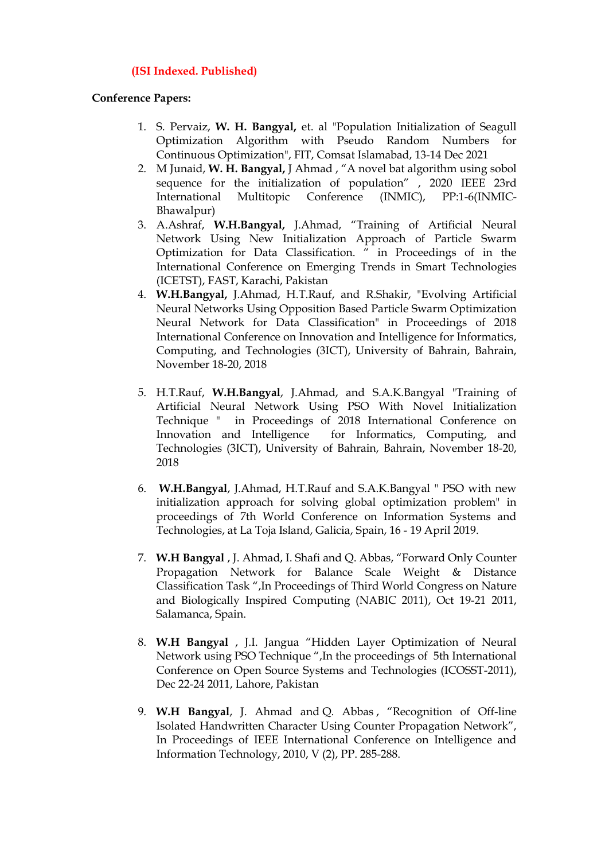## **(ISI Indexed. Published)**

#### **Conference Papers:**

- 1. S. Pervaiz, **W. H. Bangyal,** et. al "Population Initialization of Seagull Optimization Algorithm with Pseudo Random Numbers for Continuous Optimization", FIT, Comsat Islamabad, 13-14 Dec 2021
- 2. M Junaid, **W. H. Bangyal,** J Ahmad , "A novel bat algorithm using sobol sequence for the initialization of population" , 2020 IEEE 23rd International Multitopic Conference (INMIC), PP:1-6(INMIC-Bhawalpur)
- 3. A.Ashraf, **W.H.Bangyal,** J.Ahmad, "Training of Artificial Neural Network Using New Initialization Approach of Particle Swarm Optimization for Data Classification. " in Proceedings of in the International Conference on Emerging Trends in Smart Technologies (ICETST), FAST, Karachi, Pakistan
- 4. **W.H.Bangyal,** J.Ahmad, H.T.Rauf, and R.Shakir, "Evolving Artificial Neural Networks Using Opposition Based Particle Swarm Optimization Neural Network for Data Classification" in Proceedings of 2018 International Conference on Innovation and Intelligence for Informatics, Computing, and Technologies (3ICT), University of Bahrain, Bahrain, November 18-20, 2018
- 5. H.T.Rauf, **W.H.Bangyal**, J.Ahmad, and S.A.K.Bangyal "Training of Artificial Neural Network Using PSO With Novel Initialization Technique " in Proceedings of 2018 International Conference on Innovation and Intelligence for Informatics, Computing, and Technologies (3ICT), University of Bahrain, Bahrain, November 18-20, 2018
- 6. **W.H.Bangyal**, J.Ahmad, H.T.Rauf and S.A.K.Bangyal " PSO with new initialization approach for solving global optimization problem" in proceedings of 7th World Conference on Information Systems and Technologies, at La Toja Island, Galicia, Spain, 16 - 19 April 2019.
- 7. **W.H Bangyal** , J. Ahmad, I. Shafi and Q. Abbas, "Forward Only Counter Propagation Network for Balance Scale Weight & Distance Classification Task ",In Proceedings of Third World Congress on Nature and Biologically Inspired Computing (NABIC 2011), Oct 19-21 2011, Salamanca, Spain.
- 8. **W.H Bangyal** , J.I. Jangua "Hidden Layer Optimization of Neural Network using PSO Technique ",In the proceedings of 5th International Conference on Open Source Systems and Technologies (ICOSST-2011), Dec 22-24 2011, Lahore, Pakistan
- 9. **W.H Bangyal**, J. Ahmad and Q. Abbas , "Recognition of Off-line Isolated Handwritten Character Using Counter Propagation Network", In Proceedings of IEEE International Conference on Intelligence and Information Technology, 2010, V (2), PP. 285-288.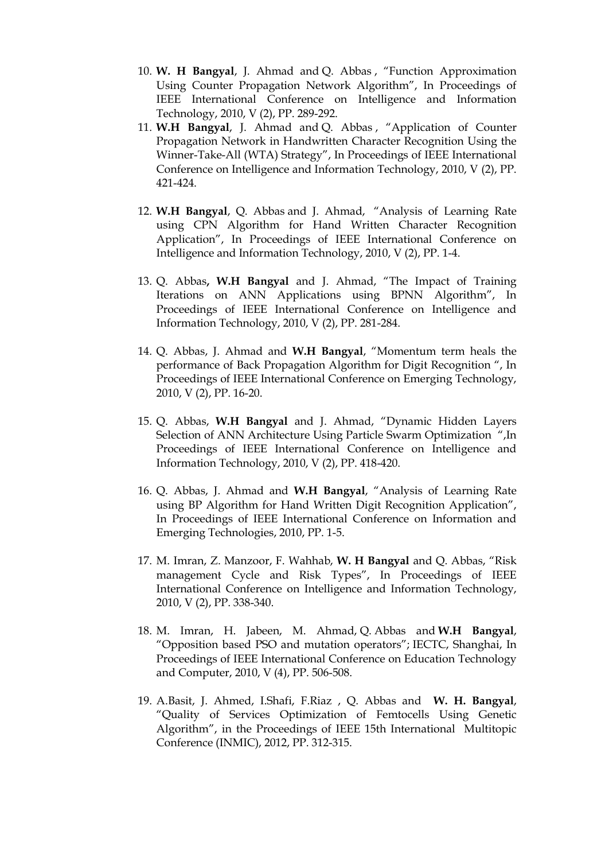- 10. **W. H Bangyal**, J. Ahmad and Q. Abbas , "Function Approximation Using Counter Propagation Network Algorithm", In Proceedings of IEEE International Conference on Intelligence and Information Technology, 2010, V (2), PP. 289-292.
- 11. **W.H Bangyal**, J. Ahmad and Q. Abbas , "Application of Counter Propagation Network in Handwritten Character Recognition Using the Winner-Take-All (WTA) Strategy", In Proceedings of IEEE International Conference on Intelligence and Information Technology, 2010, V (2), PP. 421-424.
- 12. **W.H Bangyal**, Q. Abbas and J. Ahmad, "Analysis of Learning Rate using CPN Algorithm for Hand Written Character Recognition Application", In Proceedings of IEEE International Conference on Intelligence and Information Technology, 2010, V (2), PP. 1-4.
- 13. Q. Abbas**, W.H Bangyal** and J. Ahmad, "The Impact of Training Iterations on ANN Applications using BPNN Algorithm", In Proceedings of IEEE International Conference on Intelligence and Information Technology, 2010, V (2), PP. 281-284.
- 14. Q. Abbas, J. Ahmad and **W.H Bangyal**, "Momentum term heals the performance of Back Propagation Algorithm for Digit Recognition ", In Proceedings of IEEE International Conference on Emerging Technology, 2010, V (2), PP. 16-20.
- 15. Q. Abbas, **W.H Bangyal** and J. Ahmad, "Dynamic Hidden Layers Selection of ANN Architecture Using Particle Swarm Optimization ",In Proceedings of IEEE International Conference on Intelligence and Information Technology, 2010, V (2), PP. 418-420.
- 16. Q. Abbas, J. Ahmad and **W.H Bangyal**, "Analysis of Learning Rate using BP Algorithm for Hand Written Digit Recognition Application", In Proceedings of IEEE International Conference on Information and Emerging Technologies, 2010, PP. 1-5.
- 17. M. Imran, Z. Manzoor, F. Wahhab, **W. H Bangyal** and Q. Abbas, "Risk management Cycle and Risk Types", In Proceedings of IEEE International Conference on Intelligence and Information Technology, 2010, V (2), PP. 338-340.
- 18. M. Imran, H. Jabeen, M. Ahmad, Q. Abbas and **W.H Bangyal**, "Opposition based PSO and mutation operators"; IECTC, Shanghai, In Proceedings of IEEE International Conference on Education Technology and Computer, 2010, V (4), PP. 506-508.
- 19. A.Basit, J. Ahmed, I.Shafi, F.Riaz , Q. Abbas and **W. H. Bangyal**, "Quality of Services Optimization of Femtocells Using Genetic Algorithm", in the Proceedings of IEEE 15th International Multitopic Conference (INMIC), 2012, PP. 312-315.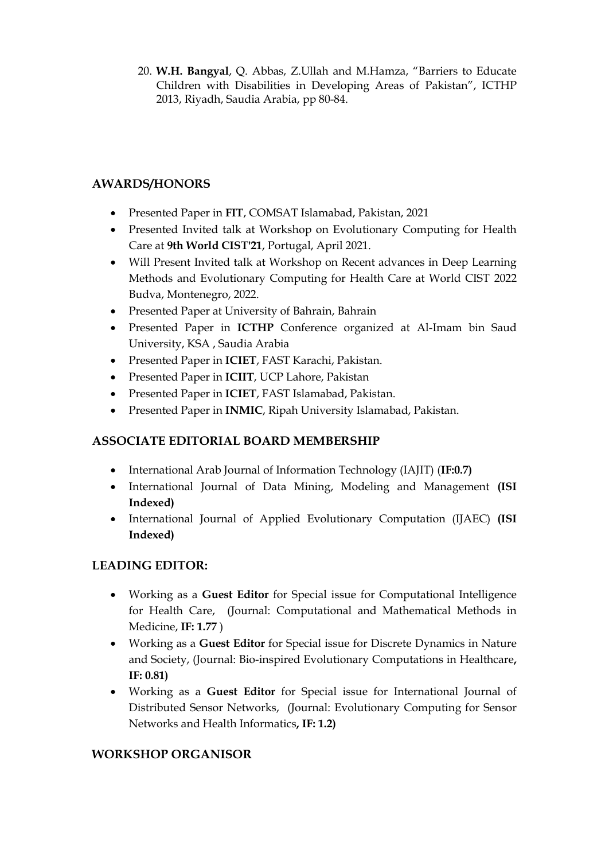20. **W.H. Bangyal**, Q. Abbas, Z.Ullah and M.Hamza, "Barriers to Educate Children with Disabilities in Developing Areas of Pakistan", ICTHP 2013, Riyadh, Saudia Arabia, pp 80-84.

# **AWARDS/HONORS**

- Presented Paper in **FIT**, COMSAT Islamabad, Pakistan, 2021
- Presented Invited talk at Workshop on Evolutionary Computing for Health Care at **9th World CIST'21**, Portugal, April 2021.
- Will Present Invited talk at Workshop on Recent advances in Deep Learning Methods and Evolutionary Computing for Health Care at World CIST 2022 Budva, Montenegro, 2022.
- Presented Paper at University of Bahrain, Bahrain
- Presented Paper in **ICTHP** Conference organized at Al-Imam bin Saud University, KSA , Saudia Arabia
- Presented Paper in **ICIET**, FAST Karachi, Pakistan.
- Presented Paper in **ICIIT**, UCP Lahore, Pakistan
- Presented Paper in **ICIET**, FAST Islamabad, Pakistan.
- Presented Paper in **INMIC**, Ripah University Islamabad, Pakistan.

# **ASSOCIATE EDITORIAL BOARD MEMBERSHIP**

- International Arab Journal of Information Technology (IAJIT) (**IF:0.7)**
- International Journal of Data Mining, Modeling and Management **(ISI Indexed)**
- International Journal of Applied Evolutionary Computation (IJAEC) **(ISI Indexed)**

# **LEADING EDITOR:**

- Working as a **Guest Editor** for Special issue for Computational Intelligence for Health Care, (Journal: Computational and Mathematical Methods in Medicine, **IF: 1.77** )
- Working as a **Guest Editor** for Special issue for Discrete Dynamics in Nature and Society, (Journal: Bio-inspired Evolutionary Computations in Healthcare**, IF: 0.81)**
- Working as a **Guest Editor** for Special issue for International Journal of Distributed Sensor Networks, (Journal: Evolutionary Computing for Sensor Networks and Health Informatics**, IF: 1.2)**

# **WORKSHOP ORGANISOR**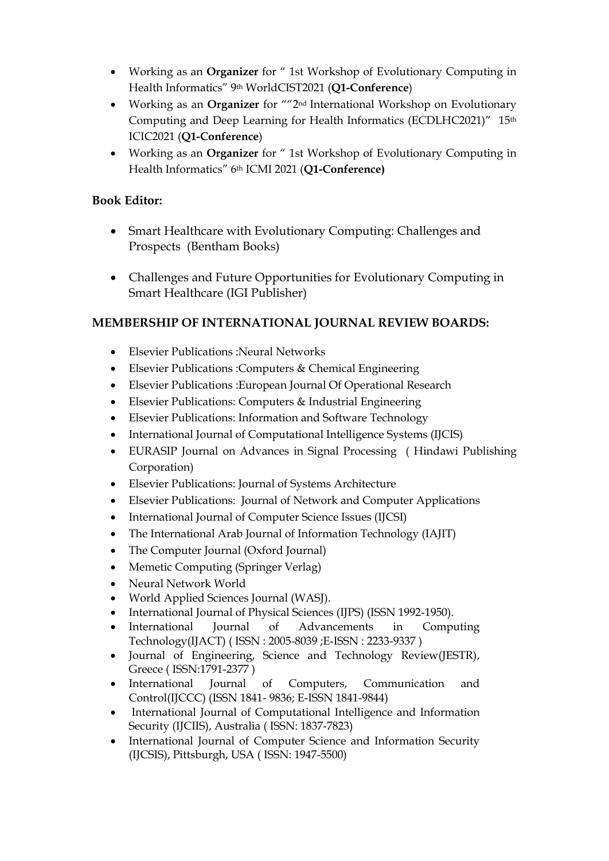- Working as an **Organizer** for " 1st Workshop of Evolutionary Computing in Health Informatics" 9th WorldCIST2021 (**Q1-Conference**)
- Working as an **Organizer** for ""2nd International Workshop on Evolutionary Computing and Deep Learning for Health Informatics (ECDLHC2021)" 15th ICIC2021 (**Q1-Conference**)
- Working as an **Organizer** for " 1st Workshop of Evolutionary Computing in Health Informatics" 6th ICMI 2021 (**Q1-Conference)**

# **Book Editor:**

- Smart Healthcare with Evolutionary Computing: Challenges and Prospects (Bentham Books)
- Challenges and Future Opportunities for Evolutionary Computing in Smart Healthcare (IGI Publisher)

# **MEMBERSHIP OF INTERNATIONAL JOURNAL REVIEW BOARDS:**

- Elsevier Publications :Neural Networks
- Elsevier Publications :Computers & Chemical Engineering
- Elsevier Publications :European Journal Of Operational Research
- Elsevier Publications: Computers & Industrial Engineering
- Elsevier Publications: Information and Software Technology
- International Journal of Computational Intelligence Systems (IJCIS)
- EURASIP Journal on Advances in Signal Processing ( Hindawi Publishing Corporation)
- Elsevier Publications: Journal of Systems Architecture
- Elsevier Publications: Journal of Network and Computer Applications
- International Journal of Computer Science Issues (IJCSI)
- The International Arab Journal of Information Technology (IAJIT)
- The Computer Journal (Oxford Journal)
- Memetic Computing (Springer Verlag)
- Neural Network World
- World Applied Sciences Journal (WASJ).
- International Journal of Physical Sciences (IJPS) (ISSN 1992-1950).
- International Journal of Advancements in Computing Technology(IJACT) ( ISSN : 2005-8039 ;E-ISSN : 2233-9337 )
- Journal of Engineering, Science and Technology Review(JESTR), Greece ( ISSN:1791-2377 )
- International Journal of Computers, Communication and Control(IJCCC) (ISSN 1841- 9836; E-ISSN 1841-9844)
- International Journal of Computational Intelligence and Information Security (IJCIIS), Australia ( ISSN: 1837-7823)
- International Journal of Computer Science and Information Security (IJCSIS), Pittsburgh, USA ( ISSN: 1947-5500)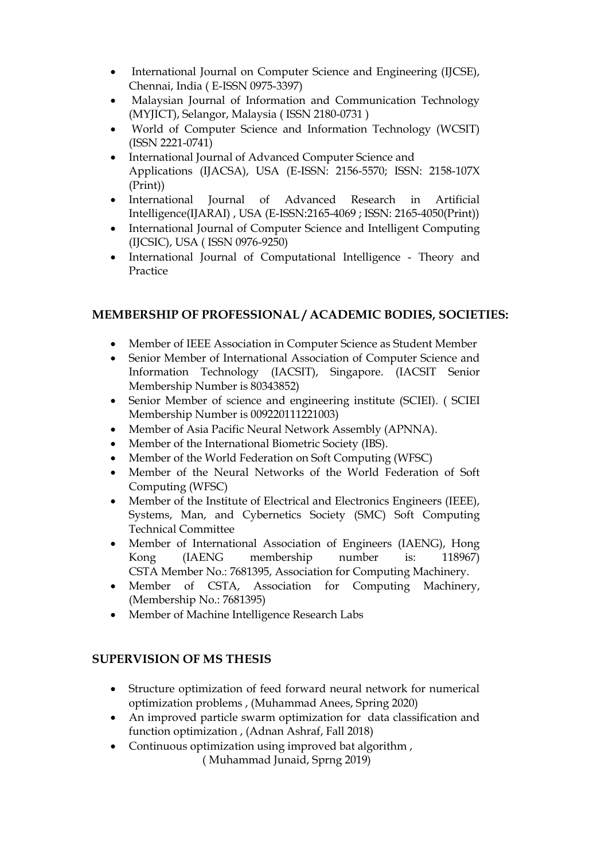- International Journal on Computer Science and Engineering (IJCSE), Chennai, India ( E-ISSN 0975-3397)
- Malaysian Journal of Information and Communication Technology (MYJICT), Selangor, Malaysia ( ISSN 2180-0731 )
- World of Computer Science and Information Technology (WCSIT) (ISSN 2221-0741)
- International Journal of Advanced Computer Science and Applications (IJACSA), USA (E-ISSN: 2156-5570; ISSN: 2158-107X (Print))
- International Journal of Advanced Research in Artificial Intelligence(IJARAI) , USA (E-ISSN:2165-4069 ; ISSN: 2165-4050(Print))
- International Journal of Computer Science and Intelligent Computing (IJCSIC), USA ( ISSN 0976-9250)
- International Journal of Computational Intelligence Theory and Practice

# **MEMBERSHIP OF PROFESSIONAL / ACADEMIC BODIES, SOCIETIES:**

- Member of IEEE Association in Computer Science as Student Member
- Senior Member of International Association of Computer Science and Information Technology (IACSIT), Singapore. (IACSIT Senior Membership Number is 80343852)
- Senior Member of science and engineering institute (SCIEI). ( SCIEI Membership Number is 009220111221003)
- Member of Asia Pacific Neural Network Assembly (APNNA).
- Member of the International Biometric Society (IBS).
- Member of the World Federation on Soft Computing (WFSC)
- Member of the Neural Networks of the World Federation of Soft Computing (WFSC)
- Member of the Institute of Electrical and Electronics Engineers (IEEE), Systems, Man, and Cybernetics Society (SMC) Soft Computing Technical Committee
- Member of International Association of Engineers (IAENG), Hong Kong (IAENG membership number is: 118967) CSTA Member No.: 7681395, Association for Computing Machinery.
- Member of CSTA, Association for Computing Machinery, (Membership No.: 7681395)
- Member of [Machine Intelligence Research Labs](http://www.mirlabs.org/)

## **SUPERVISION OF MS THESIS**

- Structure optimization of feed forward neural network for numerical optimization problems , (Muhammad Anees, Spring 2020)
- An improved particle swarm optimization for data classification and function optimization , (Adnan Ashraf, Fall 2018)
- Continuous optimization using improved bat algorithm, ( Muhammad Junaid, Sprng 2019)